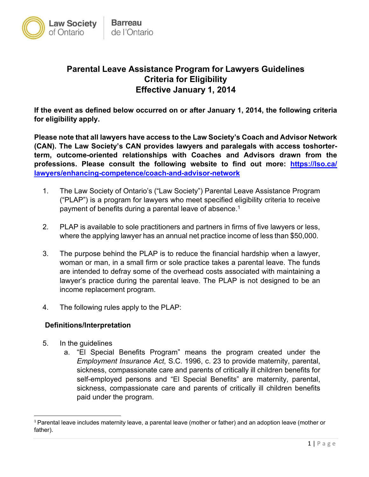

# **Parental Leave Assistance Program for Lawyers Guidelines Criteria for Eligibility Effective January 1, 2014**

**If the event as defined below occurred on or after January 1, 2014, the following criteria for eligibility apply.** 

**Please note that all lawyers have access to the Law Society's Coach and Advisor Network (CAN). The Law Society's CAN provides lawyers and paralegals with access toshorterterm, outcome-oriented relationships with Coaches and Advisors drawn from the professions. Please consult the following website to find out more: https://lso.ca/ [lawyers/enhancing-competence/coach-and-advisor-network](https://lso.ca/lawyers/enhancing-competence/coach-and-advisor-network)** 

- 1. The Law Society of Ontario's ("Law Society") Parental Leave Assistance Program ("PLAP") is a program for lawyers who meet specified eligibility criteria to receive payment of benefits during a parental leave of absence.<sup>1</sup>
- 2. PLAP is available to sole practitioners and partners in firms of five lawyers or less, where the applying lawyer has an annual net practice income of less than \$50,000.
- 3. The purpose behind the PLAP is to reduce the financial hardship when a lawyer, woman or man, in a small firm or sole practice takes a parental leave. The funds are intended to defray some of the overhead costs associated with maintaining a lawyer's practice during the parental leave. The PLAP is not designed to be an income replacement program.
- 4. The following rules apply to the PLAP:

#### **Definitions/Interpretation**

- 5. In the guidelines
	- a. "El Special Benefits Program" means the program created under the *Employment Insurance Act*, S.C. 1996, c. 23 to provide maternity, parental, sickness, compassionate care and parents of critically ill children benefits for self-employed persons and "El Special Benefits" are maternity, parental, sickness, compassionate care and parents of critically ill children benefits paid under the program.

<sup>&</sup>lt;sup>1</sup> Parental leave includes maternity leave, a parental leave (mother or father) and an adoption leave (mother or father).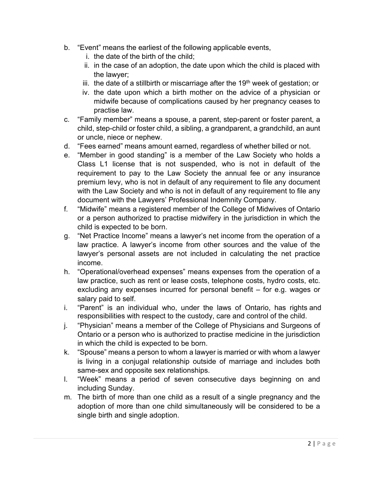- b. "Event" means the earliest of the following applicable events,
	- i. the date of the birth of the child;
	- ii. in the case of an adoption, the date upon which the child is placed with the lawyer;
	- iii. the date of a stillbirth or miscarriage after the  $19<sup>th</sup>$  week of gestation; or
	- iv. the date upon which a birth mother on the advice of a physician or midwife because of complications caused by her pregnancy ceases to practise law.
- c. "Family member" means a spouse, a parent, step-parent or foster parent, a child, step-child or foster child, a sibling, a grandparent, a grandchild, an aunt or uncle, niece or nephew.
- d. "Fees earned" means amount earned, regardless of whether billed or not.
- e. "Member in good standing" is a member of the Law Society who holds a Class L1 license that is not suspended, who is not in default of the requirement to pay to the Law Society the annual fee or any insurance premium levy, who is not in default of any requirement to file any document with the Law Society and who is not in default of any requirement to file any document with the Lawyers' Professional Indemnity Company.
- f. "Midwife" means a registered member of the College of Midwives of Ontario or a person authorized to practise midwifery in the jurisdiction in which the child is expected to be born.
- g. "Net Practice Income" means a lawyer's net income from the operation of a law practice. A lawyer's income from other sources and the value of the lawyer's personal assets are not included in calculating the net practice income.
- h. "Operational/overhead expenses" means expenses from the operation of a law practice, such as rent or lease costs, telephone costs, hydro costs, etc. excluding any expenses incurred for personal benefit – for e.g. wages or salary paid to self.
- i. "Parent" is an individual who, under the laws of Ontario, has rights and responsibilities with respect to the custody, care and control of the child.
- j. "Physician" means a member of the College of Physicians and Surgeons of Ontario or a person who is authorized to practise medicine in the jurisdiction in which the child is expected to be born.
- k. "Spouse" means a person to whom a lawyer is married or with whom a lawyer is living in a conjugal relationship outside of marriage and includes both same-sex and opposite sex relationships.
- l. "Week" means a period of seven consecutive days beginning on and including Sunday.
- m. The birth of more than one child as a result of a single pregnancy and the adoption of more than one child simultaneously will be considered to be a single birth and single adoption.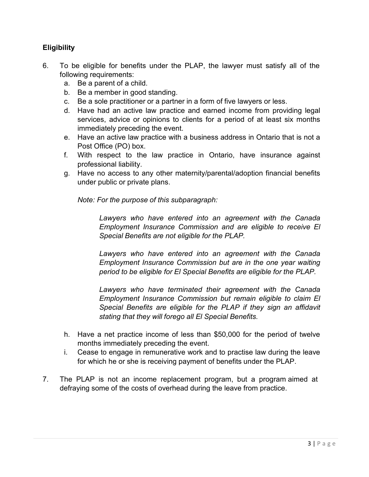## **Eligibility**

- 6. To be eligible for benefits under the PLAP, the lawyer must satisfy all of the following requirements:
	- a. Be a parent of a child.
	- b. Be a member in good standing.
	- c. Be a sole practitioner or a partner in a form of five lawyers or less.
	- d. Have had an active law practice and earned income from providing legal services, advice or opinions to clients for a period of at least six months immediately preceding the event.
	- e. Have an active law practice with a business address in Ontario that is not a Post Office (PO) box.
	- f. With respect to the law practice in Ontario, have insurance against professional liability.
	- g. Have no access to any other maternity/parental/adoption financial benefits under public or private plans.

*Note: For the purpose of this subparagraph:* 

*Lawyers who have entered into an agreement with the Canada Employment Insurance Commission and are eligible to receive El Special Benefits are not eligible for the PLAP.* 

*Lawyers who have entered into an agreement with the Canada Employment Insurance Commission but are in the one year waiting period to be eligible for El Special Benefits are eligible for the PLAP.* 

*Lawyers who have terminated their agreement with the Canada Employment Insurance Commission but remain eligible to claim El Special Benefits are eligible for the PLAP if they sign an affidavit stating that they will forego all El Special Benefits.* 

- h. Have a net practice income of less than \$50,000 for the period of twelve months immediately preceding the event.
- i. Cease to engage in remunerative work and to practise law during the leave for which he or she is receiving payment of benefits under the PLAP.
- 7. The PLAP is not an income replacement program, but a program aimed at defraying some of the costs of overhead during the leave from practice.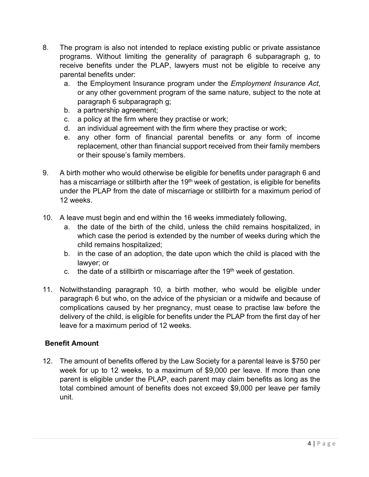- 8. The program is also not intended to replace existing public or private assistance programs. Without limiting the generality of paragraph 6 subparagraph g, to receive benefits under the PLAP, lawyers must not be eligible to receive any parental benefits under:
	- a. the Employment Insurance program under the *Employment Insurance Act*, or any other government program of the same nature, subject to the note at paragraph 6 subparagraph g;
	- b. a partnership agreement;
	- c. a policy at the firm where they practise or work;
	- d. an individual agreement with the firm where they practise or work;
	- e. any other form of financial parental benefits or any form of income replacement, other than financial support received from their family members or their spouse's family members.
- 9. A birth mother who would otherwise be eligible for benefits under paragraph 6 and has a miscarriage or stillbirth after the 19<sup>th</sup> week of gestation, is eligible for benefits under the PLAP from the date of miscarriage or stillbirth for a maximum period of 12 weeks.
- 10. A leave must begin and end within the 16 weeks immediately following,
	- a. the date of the birth of the child, unless the child remains hospitalized, in which case the period is extended by the number of weeks during which the child remains hospitalized;
	- b. in the case of an adoption, the date upon which the child is placed with the lawyer; or
	- c. the date of a stillbirth or miscarriage after the  $19<sup>th</sup>$  week of gestation.
- 11. Notwithstanding paragraph 10, a birth mother, who would be eligible under paragraph 6 but who, on the advice of the physician or a midwife and because of complications caused by her pregnancy, must cease to practise law before the delivery of the child, is eligible for benefits under the PLAP from the first day of her leave for a maximum period of 12 weeks.

### **Benefit Amount**

12. The amount of benefits offered by the Law Society for a parental leave is \$750 per week for up to 12 weeks, to a maximum of \$9,000 per leave. If more than one parent is eligible under the PLAP, each parent may claim benefits as long as the total combined amount of benefits does not exceed \$9,000 per leave per family unit.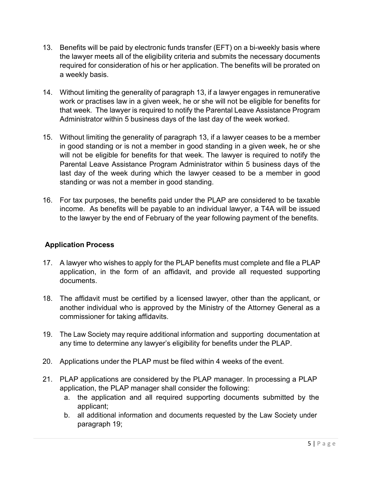- 13. Benefits will be paid by electronic funds transfer (EFT) on a bi-weekly basis where the lawyer meets all of the eligibility criteria and submits the necessary documents required for consideration of his or her application. The benefits will be prorated on a weekly basis.
- 14. Without limiting the generality of paragraph 13, if a lawyer engages in remunerative work or practises law in a given week, he or she will not be eligible for benefits for that week. The lawyer is required to notify the Parental Leave Assistance Program Administrator within 5 business days of the last day of the week worked.
- 15. Without limiting the generality of paragraph 13, if a lawyer ceases to be a member in good standing or is not a member in good standing in a given week, he or she will not be eligible for benefits for that week. The lawyer is required to notify the Parental Leave Assistance Program Administrator within 5 business days of the last day of the week during which the lawyer ceased to be a member in good standing or was not a member in good standing.
- 16. For tax purposes, the benefits paid under the PLAP are considered to be taxable income. As benefits will be payable to an individual lawyer, a T4A will be issued to the lawyer by the end of February of the year following payment of the benefits.

### **Application Process**

- 17. A lawyer who wishes to apply for the PLAP benefits must complete and file a PLAP application, in the form of an affidavit, and provide all requested supporting documents.
- 18. The affidavit must be certified by a licensed lawyer, other than the applicant, or another individual who is approved by the Ministry of the Attorney General as a commissioner for taking affidavits.
- 19. The Law Society may require additional information and supporting documentation at any time to determine any lawyer's eligibility for benefits under the PLAP.
- 20. Applications under the PLAP must be filed within 4 weeks of the event.
- 21. PLAP applications are considered by the PLAP manager. In processing a PLAP application, the PLAP manager shall consider the following:
	- a. the application and all required supporting documents submitted by the applicant;
	- b. all additional information and documents requested by the Law Society under paragraph 19;